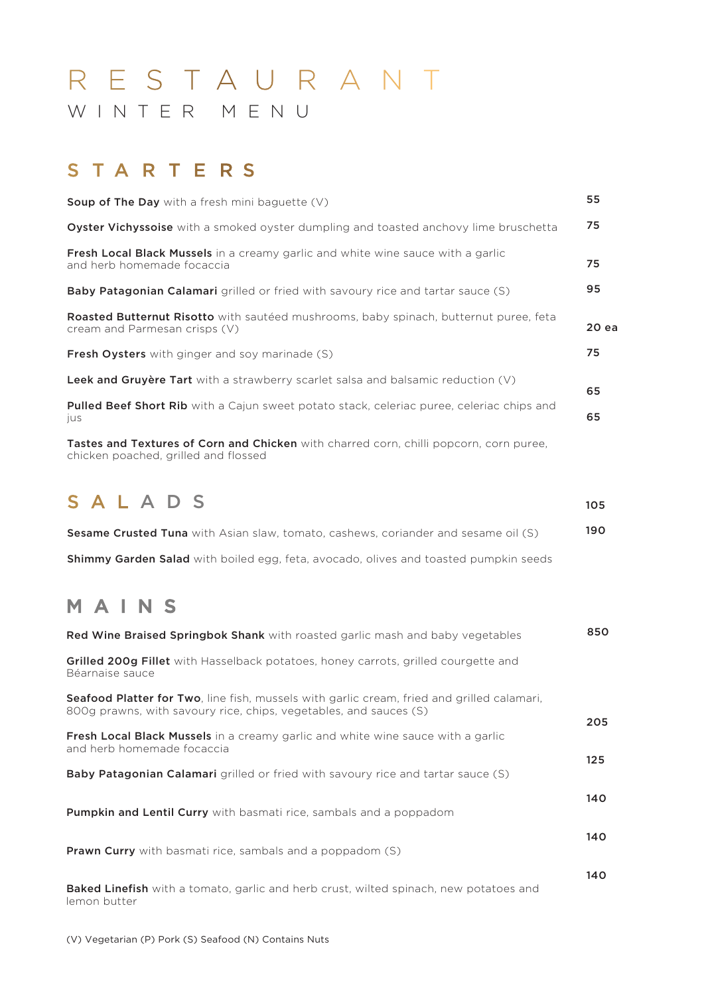# R E S T A U R A N T W I N T E R M E N U

# S T A R T E R S

| <b>Soup of The Day</b> with a fresh mini baguette $(V)$                                                                               | 55    |
|---------------------------------------------------------------------------------------------------------------------------------------|-------|
| <b>Oyster Vichyssoise</b> with a smoked oyster dumpling and toasted anchovy lime bruschetta                                           | 75    |
| <b>Fresh Local Black Mussels</b> in a creamy garlic and white wine sauce with a garlic<br>and herb homemade focaccia                  | 75    |
| <b>Baby Patagonian Calamari</b> grilled or fried with savoury rice and tartar sauce (S)                                               | 95    |
| <b>Roasted Butternut Risotto</b> with sauteed mushrooms, baby spinach, butternut puree, feta<br>cream and Parmesan crisps (V)         | 20 ea |
| <b>Fresh Oysters</b> with ginger and soy marinade (S)                                                                                 | 75    |
| <b>Leek and Gruyère Tart</b> with a strawberry scarlet salsa and balsamic reduction (V)                                               | 65    |
| <b>Pulled Beef Short Rib</b> with a Cajun sweet potato stack, celeriac puree, celeriac chips and<br><b>IUS</b>                        | 65    |
| <b>Tastes and Textures of Corn and Chicken</b> with charred corn, chilli popcorn, corn puree,<br>chicken poached, grilled and flossed |       |

# SAL A D S

| <b>Sesame Crusted Tuna</b> with Asian slaw, tomato, cashews, coriander and sesame oil (S)   | 190 |
|---------------------------------------------------------------------------------------------|-----|
| <b>Shimmy Garden Salad</b> with boiled egg, feta, avocado, olives and toasted pumpkin seeds |     |

105

# MAINS

| <b>Red Wine Braised Springbok Shank</b> with roasted garlic mash and baby vegetables                                                                                    | 850 |
|-------------------------------------------------------------------------------------------------------------------------------------------------------------------------|-----|
| Grilled 200g Fillet with Hasselback potatoes, honey carrots, grilled courgette and<br>Béarnaise sauce                                                                   |     |
| <b>Seafood Platter for Two</b> , line fish, mussels with garlic cream, fried and grilled calamari,<br>800g prawns, with savoury rice, chips, vegetables, and sauces (S) | 205 |
| <b>Fresh Local Black Mussels</b> in a creamy garlic and white wine sauce with a garlic<br>and herb homemade focaccia                                                    | 125 |
| <b>Baby Patagonian Calamari</b> grilled or fried with savoury rice and tartar sauce (S)                                                                                 |     |
| <b>Pumpkin and Lentil Curry</b> with basmati rice, sambals and a poppadom                                                                                               | 140 |
| Prawn Curry with basmati rice, sambals and a poppadom (S)                                                                                                               | 140 |
| <b>Baked Linefish</b> with a tomato, garlic and herb crust, wilted spinach, new potatoes and<br>lemon butter                                                            | 140 |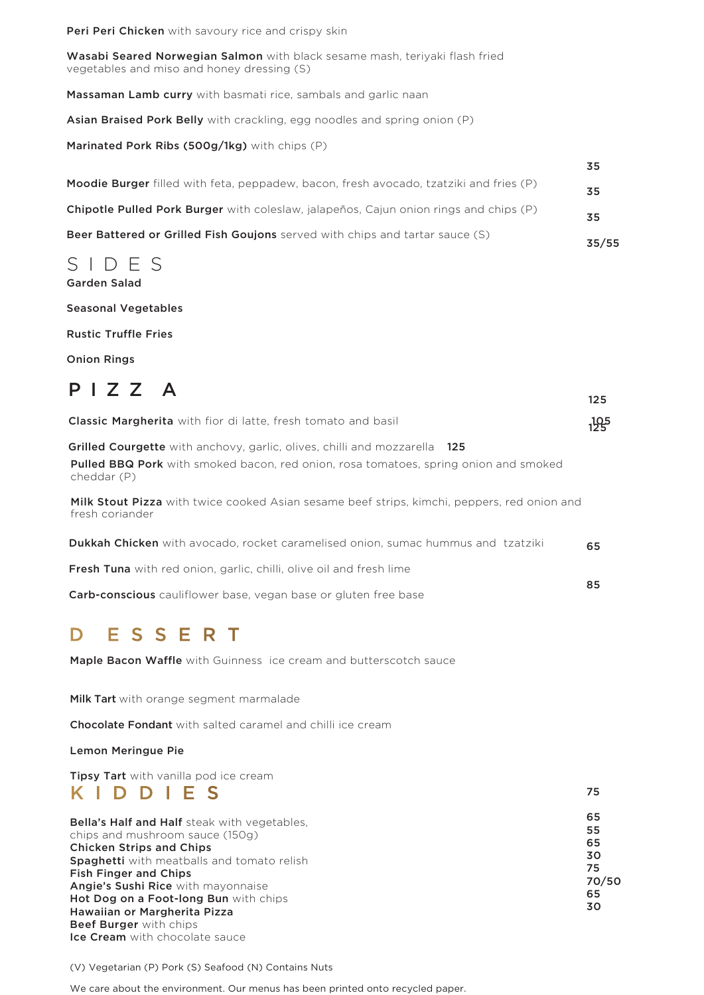Peri Peri Chicken with savoury rice and crispy skin

Wasabi Seared Norwegian Salmon with black sesame mash, teriyaki flash fried vegetables and miso and honey dressing (S)

Massaman Lamb curry with basmati rice, sambals and garlic naan

Asian Braised Pork Belly with crackling, egg noodles and spring onion (P)

Marinated Pork Ribs (500g/1kg) with chips (P)

| <b>Moodie Burger</b> filled with feta, peppadew, bacon, fresh avocado, tzatziki and fries (P) | 35    |
|-----------------------------------------------------------------------------------------------|-------|
| <b>Chipotle Pulled Pork Burger</b> with coleslaw, jalapenos, Cajun onion rings and chips (P)  | 35    |
| <b>Beer Battered or Grilled Fish Goujons</b> served with chips and tartar sauce (S)           | 35/55 |

**z** 

75

#### SIDES Garden Salad

Seasonal Vegetables

Rustic Truffle Fries

Onion Rings

| $P$   $Z$ $Z$ $A$                                                                                                                                                                              | 125 |
|------------------------------------------------------------------------------------------------------------------------------------------------------------------------------------------------|-----|
| <b>Classic Margherita</b> with fior di latte, fresh tomato and basil                                                                                                                           | 195 |
| <b>Grilled Courgette</b> with anchovy, garlic, olives, chilli and mozzarella 125<br><b>Pulled BBQ Pork</b> with smoked bacon, red onion, rosa tomatoes, spring onion and smoked<br>cheddar (P) |     |
| <b>Milk Stout Pizza</b> with twice cooked Asian sesame beef strips, kimchi, peppers, red onion and<br>fresh coriander                                                                          |     |
| <b>Dukkah Chicken</b> with avocado, rocket caramelised onion, sumac hummus and tzatziki                                                                                                        | 65  |
| <b>Fresh Tuna</b> with red onion, garlic, chilli, olive oil and fresh lime                                                                                                                     |     |
| Carb-conscious cauliflower base, vegan base or gluten free base                                                                                                                                | 85  |
| ESSERT<br><b>Maple Bacon Waffle</b> with Guinness ice cream and butterscotch sauce                                                                                                             |     |

Milk Tart with orange segment marmalade

Chocolate Fondant with salted caramel and chilli ice cream

Lemon Meringue Pie

Tipsy Tart with vanilla pod ice cream K I D DIE S

| <b>Bella's Half and Half</b> steak with vegetables. | 65    |
|-----------------------------------------------------|-------|
|                                                     | 55    |
| chips and mushroom sauce (150g)                     | 65    |
| <b>Chicken Strips and Chips</b>                     |       |
| Spaghetti with meatballs and tomato relish          | 30    |
| <b>Fish Finger and Chips</b>                        | 75    |
| Angie's Sushi Rice with mayonnaise                  | 70/50 |
|                                                     | 65    |
| Hot Dog on a Foot-long Bun with chips               |       |
| Hawaiian or Margherita Pizza                        | 30    |
| <b>Beef Burger</b> with chips                       |       |
| <b>Ice Cream</b> with chocolate sauce               |       |

(V) Vegetarian (P) Pork (S) Seafood (N) Contains Nuts

We care about the environment. Our menus has been printed onto recycled paper.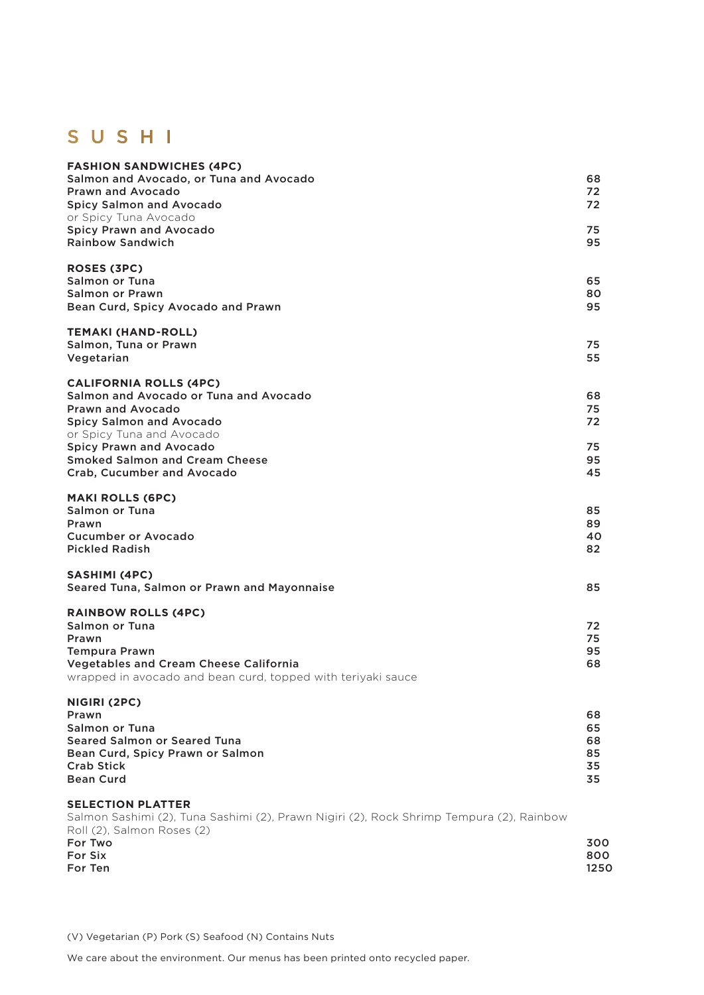# SUSHI

| <b>FASHION SANDWICHES (4PC)</b><br>Salmon and Avocado, or Tuna and Avocado<br><b>Prawn and Avocado</b><br>Spicy Salmon and Avocado<br>or Spicy Tuna Avocado<br><b>Spicy Prawn and Avocado</b><br><b>Rainbow Sandwich</b>                                                     | 68<br>72<br>72<br>75<br>95       |
|------------------------------------------------------------------------------------------------------------------------------------------------------------------------------------------------------------------------------------------------------------------------------|----------------------------------|
| ROSES (3PC)<br>Salmon or Tuna<br><b>Salmon or Prawn</b><br>Bean Curd, Spicy Avocado and Prawn                                                                                                                                                                                | 65<br>80<br>95                   |
| <b>TEMAKI (HAND-ROLL)</b><br>Salmon, Tuna or Prawn<br>Vegetarian                                                                                                                                                                                                             | 75<br>55                         |
| <b>CALIFORNIA ROLLS (4PC)</b><br>Salmon and Avocado or Tuna and Avocado<br><b>Prawn and Avocado</b><br><b>Spicy Salmon and Avocado</b><br>or Spicy Tuna and Avocado<br><b>Spicy Prawn and Avocado</b><br><b>Smoked Salmon and Cream Cheese</b><br>Crab, Cucumber and Avocado | 68<br>75<br>72<br>75<br>95<br>45 |
| <b>MAKI ROLLS (6PC)</b><br><b>Salmon or Tuna</b><br>Prawn<br><b>Cucumber or Avocado</b><br><b>Pickled Radish</b>                                                                                                                                                             | 85<br>89<br>40<br>82             |
| <b>SASHIMI (4PC)</b><br>Seared Tuna, Salmon or Prawn and Mayonnaise                                                                                                                                                                                                          | 85                               |
| <b>RAINBOW ROLLS (4PC)</b><br><b>Salmon or Tuna</b><br>Prawn<br><b>Tempura Prawn</b><br><b>Vegetables and Cream Cheese California</b><br>wrapped in avocado and bean curd, topped with teriyaki sauce                                                                        | 72<br>75<br>95<br>68             |
| NIGIRI (2PC)<br>Prawn<br><b>Salmon or Tuna</b><br><b>Seared Salmon or Seared Tuna</b><br>Bean Curd, Spicy Prawn or Salmon<br><b>Crab Stick</b><br><b>Bean Curd</b>                                                                                                           | 68<br>65<br>68<br>85<br>35<br>35 |
| <b>SELECTION PLATTER</b><br>Salmon Sashimi (2), Tuna Sashimi (2), Prawn Nigiri (2), Rock Shrimp Tempura (2), Rainbow<br>Roll (2), Salmon Roses (2)<br>For Two<br>For Six                                                                                                     | 300<br>800                       |

For Ten 1250

(V) Vegetarian (P) Pork (S) Seafood (N) Contains Nuts

We care about the environment. Our menus has been printed onto recycled paper.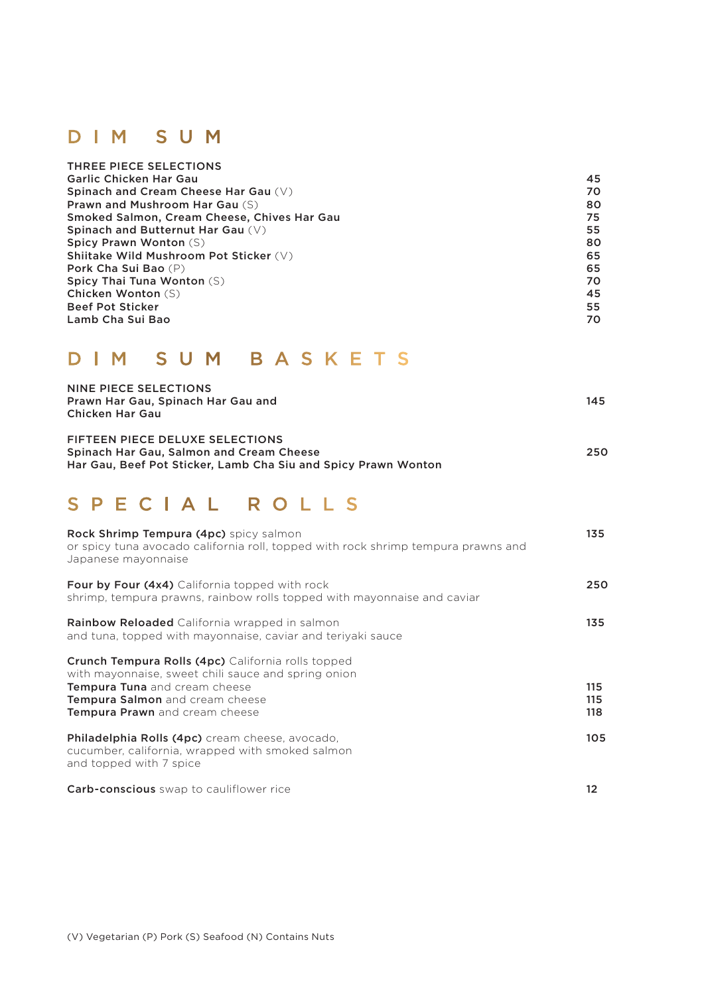#### DIM SUM

| THREE PIECE SELECTIONS                      |    |
|---------------------------------------------|----|
| Garlic Chicken Har Gau                      | 45 |
| Spinach and Cream Cheese Har Gau (V)        | 70 |
| <b>Prawn and Mushroom Har Gau (S)</b>       | 80 |
| Smoked Salmon, Cream Cheese, Chives Har Gau | 75 |
| Spinach and Butternut Har Gau (V)           | 55 |
| <b>Spicy Prawn Wonton (S)</b>               | 80 |
| Shiitake Wild Mushroom Pot Sticker (V)      | 65 |
| <b>Pork Cha Sui Bao</b> (P)                 | 65 |
| <b>Spicy Thai Tuna Wonton (S)</b>           | 70 |
| Chicken Wonton (S)                          | 45 |
| <b>Beef Pot Sticker</b>                     | 55 |
| Lamb Cha Sui Bao                            | 70 |

## DIM SUM BASKETS

| NINE PIECE SELECTIONS                                          |     |
|----------------------------------------------------------------|-----|
| Prawn Har Gau, Spinach Har Gau and                             | 145 |
| Chicken Har Gau                                                |     |
|                                                                |     |
| <b>FIFTEEN PIECE DELUXE SELECTIONS</b>                         |     |
| Spinach Har Gau, Salmon and Cream Cheese                       | 250 |
| Har Gau, Beef Pot Sticker, Lamb Cha Siu and Spicy Prawn Wonton |     |

## SPECIAL ROLLS

| <b>Rock Shrimp Tempura (4pc)</b> spicy salmon<br>or spicy tuna avocado california roll, topped with rock shrimp tempura prawns and<br>Japanese mayonnaise                                                                            | 135               |
|--------------------------------------------------------------------------------------------------------------------------------------------------------------------------------------------------------------------------------------|-------------------|
| <b>Four by Four (4x4)</b> California topped with rock<br>shrimp, tempura prawns, rainbow rolls topped with mayonnaise and caviar                                                                                                     | 250               |
| <b>Rainbow Reloaded</b> California wrapped in salmon<br>and tuna, topped with mayonnaise, caviar and teriyaki sauce                                                                                                                  | 135               |
| <b>Crunch Tempura Rolls (4pc)</b> California rolls topped<br>with mayonnaise, sweet chili sauce and spring onion<br><b>Tempura Tuna</b> and cream cheese<br><b>Tempura Salmon</b> and cream cheese<br>Tempura Prawn and cream cheese | 115<br>115<br>118 |
| <b>Philadelphia Rolls (4pc)</b> cream cheese, avocado,<br>cucumber, california, wrapped with smoked salmon<br>and topped with 7 spice                                                                                                | 105               |
| <b>Carb-conscious</b> swap to cauliflower rice                                                                                                                                                                                       | 12                |